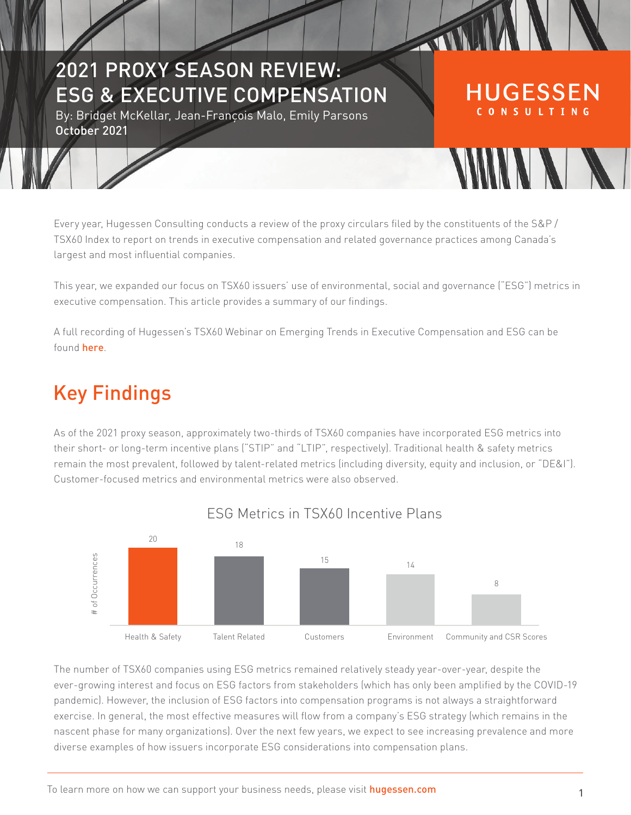# 2021 PROXY SEASON REVIEW: ESG & EXECUTIVE COMPENSATION

By: Bridget McKellar, Jean-François Malo, Emily Parsons October 2021

Every year, Hugessen Consulting conducts a review of the proxy circulars filed by the constituents of the S&P / TSX60 Index to report on trends in executive compensation and related governance practices among Canada's largest and most influential companies.

TTT

**HUGESSEN** CONSULTING

**SAMAN SAMA** 

This year, we expanded our focus on TSX60 issuers' use of environmental, social and governance ("ESG") metrics in executive compensation. This article provides a summary of our findings.

A full recording of Hugessen's TSX60 Webinar on Emerging Trends in Executive Compensation and ESG can be found [here](https://www.hugessen.com/en/news/emerging-trends-executive-compensation-and-esg-webinar).

# Key Findings

As of the 2021 proxy season, approximately two-thirds of TSX60 companies have incorporated ESG metrics into their short- or long-term incentive plans ("STIP" and "LTIP", respectively). Traditional health & safety metrics remain the most prevalent, followed by talent-related metrics (including diversity, equity and inclusion, or "DE&I"). Customer-focused metrics and environmental metrics were also observed.



#### ESG Metrics in TSX60 Incentive Plans

The number of TSX60 companies using ESG metrics remained relatively steady year-over-year, despite the ever-growing interest and focus on ESG factors from stakeholders (which has only been amplified by the COVID-19 pandemic). However, the inclusion of ESG factors into compensation programs is not always a straightforward exercise. In general, the most effective measures will flow from a company's ESG strategy (which remains in the nascent phase for many organizations). Over the next few years, we expect to see increasing prevalence and more diverse examples of how issuers incorporate ESG considerations into compensation plans.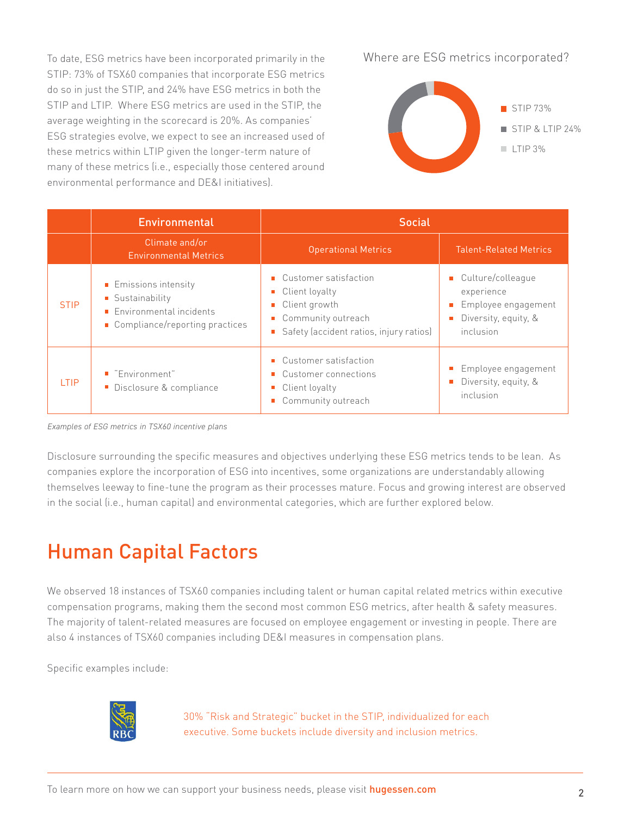To date, ESG metrics have been incorporated primarily in the STIP: 73% of TSX60 companies that incorporate ESG metrics do so in just the STIP, and 24% have ESG metrics in both the STIP and LTIP. Where ESG metrics are used in the STIP, the average weighting in the scorecard is 20%. As companies' ESG strategies evolve, we expect to see an increased used of these metrics within LTIP given the longer-term nature of many of these metrics (i.e., especially those centered around environmental performance and DE&I initiatives).

Where are ESG metrics incorporated?



|             | <b>Environmental</b>                                                                                   | <b>Social</b>                                                                                                                   |                                                                                               |
|-------------|--------------------------------------------------------------------------------------------------------|---------------------------------------------------------------------------------------------------------------------------------|-----------------------------------------------------------------------------------------------|
|             | Climate and/or<br><b>Environmental Metrics</b>                                                         | <b>Operational Metrics</b>                                                                                                      | <b>Talent-Related Metrics</b>                                                                 |
| <b>STIP</b> | Emissions intensity<br>■ Sustainability<br>Environmental incidents<br>■ Compliance/reporting practices | • Customer satisfaction<br>Client loyalty<br>■ Client growth<br>■ Community outreach<br>Safety (accident ratios, injury ratios) | ■ Culture/colleague<br>experience<br>Employee engagement<br>Diversity, equity, &<br>inclusion |
| I TIP       | ■ "Environment"<br>Disclosure & compliance                                                             | • Customer satisfaction<br>• Customer connections<br>Client loyalty<br>$\Box$<br>Community outreach                             | Employee engagement<br>Diversity, equity, &<br>inclusion                                      |

*Examples of ESG metrics in TSX60 incentive plans*

Disclosure surrounding the specific measures and objectives underlying these ESG metrics tends to be lean. As companies explore the incorporation of ESG into incentives, some organizations are understandably allowing themselves leeway to fine-tune the program as their processes mature. Focus and growing interest are observed in the social (i.e., human capital) and environmental categories, which are further explored below.

## Human Capital Factors

We observed 18 instances of TSX60 companies including talent or human capital related metrics within executive compensation programs, making them the second most common ESG metrics, after health & safety measures. The majority of talent-related measures are focused on employee engagement or investing in people. There are also 4 instances of TSX60 companies including DE&I measures in compensation plans.

Specific examples include:



30% "Risk and Strategic" bucket in the STIP, individualized for each executive. Some buckets include diversity and inclusion metrics.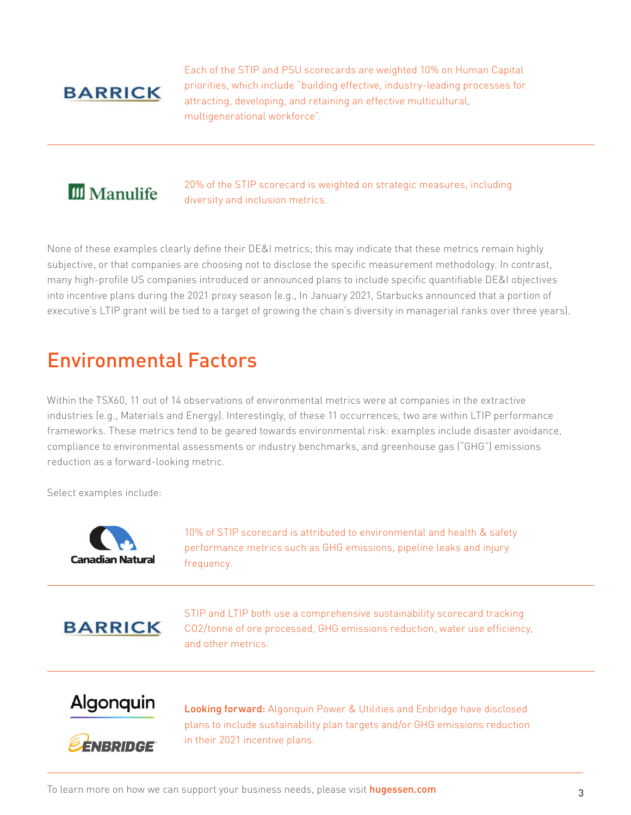### **BARRICK**

Each of the STIP and PSU scorecards are weighted 10% on Human Capital priorities, which include "building effective, industry-leading processes for attracting, developing, and retaining an effective multicultural, multigenerational workforce".

## **III** Manulife

20% of the STIP scorecard is weighted on strategic measures, including diversity and inclusion metrics.

None of these examples clearly define their DE&I metrics; this may indicate that these metrics remain highly subjective, or that companies are choosing not to disclose the specific measurement methodology. In contrast, many high-profile US companies introduced or announced plans to include specific quantifiable DE&I objectives into incentive plans during the 2021 proxy season (e.g., In January 2021, Starbucks announced that a portion of executive's LTIP grant will be tied to a target of growing the chain's diversity in managerial ranks over three years).

## Environmental Factors

Within the TSX60, 11 out of 14 observations of environmental metrics were at companies in the extractive industries (e.g., Materials and Energy). Interestingly, of these 11 occurrences, two are within LTIP performance frameworks. These metrics tend to be geared towards environmental risk: examples include disaster avoidance, compliance to environmental assessments or industry benchmarks, and greenhouse gas ("GHG") emissions reduction as a forward-looking metric.

Select examples include:



10% of STIP scorecard is attributed to environmental and health & safety performance metrics such as GHG emissions, pipeline leaks and injury frequency.

**BARRICK** 

STIP and LTIP both use a comprehensive sustainability scorecard tracking CO2/tonne of ore processed, GHG emissions reduction, water use efficiency, and other metrics.

### Algonquin



Looking forward: Algonquin Power & Utilities and Enbridge have disclosed plans to include sustainability plan targets and/or GHG emissions reduction in their 2021 incentive plans.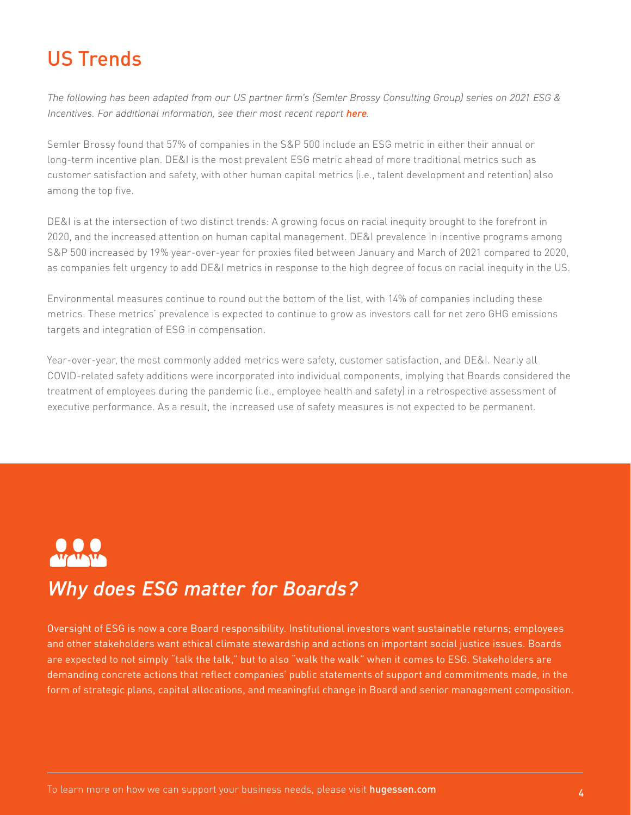# US Trends

*The following has been adapted from our US partner firm's (Semler Brossy Consulting Group) series on 2021 ESG & Incentives. For additional information, see their most recent report [here](https://semlerbrossy.com/insights/2021-esg-incentives-report/).* 

Semler Brossy found that 57% of companies in the S&P 500 include an ESG metric in either their annual or long-term incentive plan. DE&I is the most prevalent ESG metric ahead of more traditional metrics such as customer satisfaction and safety, with other human capital metrics (i.e., talent development and retention) also among the top five.

DE&I is at the intersection of two distinct trends: A growing focus on racial inequity brought to the forefront in 2020, and the increased attention on human capital management. DE&I prevalence in incentive programs among S&P 500 increased by 19% year-over-year for proxies filed between January and March of 2021 compared to 2020, as companies felt urgency to add DE&I metrics in response to the high degree of focus on racial inequity in the US.

Environmental measures continue to round out the bottom of the list, with 14% of companies including these metrics. These metrics' prevalence is expected to continue to grow as investors call for net zero GHG emissions targets and integration of ESG in compensation.

Year-over-year, the most commonly added metrics were safety, customer satisfaction, and DE&I. Nearly all COVID-related safety additions were incorporated into individual components, implying that Boards considered the treatment of employees during the pandemic (i.e., employee health and safety) in a retrospective assessment of executive performance. As a result, the increased use of safety measures is not expected to be permanent.



## *Why does ESG matter for Boards?*

Oversight of ESG is now a core Board responsibility. Institutional investors want sustainable returns; employees and other stakeholders want ethical climate stewardship and actions on important social justice issues. Boards are expected to not simply "talk the talk," but to also "walk the walk" when it comes to ESG. Stakeholders are demanding concrete actions that reflect companies' public statements of support and commitments made, in the form of strategic plans, capital allocations, and meaningful change in Board and senior management composition.